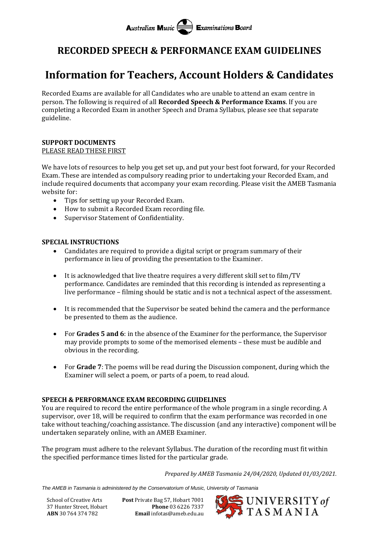# **Australian Music Examinations Board**

### **RECORDED SPEECH & PERFORMANCE EXAM GUIDELINES**

## **Information for Teachers, Account Holders & Candidates**

Recorded Exams are available for all Candidates who are unable to attend an exam centre in person. The following is required of all **Recorded Speech & Performance Exams**. If you are completing a Recorded Exam in another Speech and Drama Syllabus, please see that separate guideline.

#### **SUPPORT DOCUMENTS** PLEASE READ THESE FIRST

We have lots of resources to help you get set up, and put your best foot forward, for your Recorded Exam. These are intended as compulsory reading prior to undertaking your Recorded Exam, and include required documents that accompany your exam recording. Please visit the AMEB Tasmania website for:

- Tips for setting up your Recorded Exam.
- How to submit a Recorded Exam recording file.
- Supervisor Statement of Confidentiality.

#### **SPECIAL INSTRUCTIONS**

- Candidates are required to provide a digital script or program summary of their performance in lieu of providing the presentation to the Examiner.
- It is acknowledged that live theatre requires a very different skill set to film/TV performance. Candidates are reminded that this recording is intended as representing a live performance – filming should be static and is not a technical aspect of the assessment.
- It is recommended that the Supervisor be seated behind the camera and the performance be presented to them as the audience.
- For **Grades 5 and 6**: in the absence of the Examiner for the performance, the Supervisor may provide prompts to some of the memorised elements – these must be audible and obvious in the recording.
- For **Grade 7**: The poems will be read during the Discussion component, during which the Examiner will select a poem, or parts of a poem, to read aloud.

#### **SPEECH & PERFORMANCE EXAM RECORDING GUIDELINES**

You are required to record the entire performance of the whole program in a single recording. A supervisor, over 18, will be required to confirm that the exam performance was recorded in one take without teaching/coaching assistance. The discussion (and any interactive) component will be undertaken separately online, with an AMEB Examiner.

The program must adhere to the relevant Syllabus. The duration of the recording must fit within the specified performance times listed for the particular grade.

*Prepared by AMEB Tasmania 24/04/2020, Updated 01/03/2021.*

*The AMEB in Tasmania is administered by the Conservatorium of Music, University of Tasmania*

School of Creative Arts **Post** Private Bag 57, Hobart 7001 37 Hunter Street, Hobart **Phone** 03 6226 7337 **ABN** 30 764 374 782 **Email** infotas@ameb.edu.au

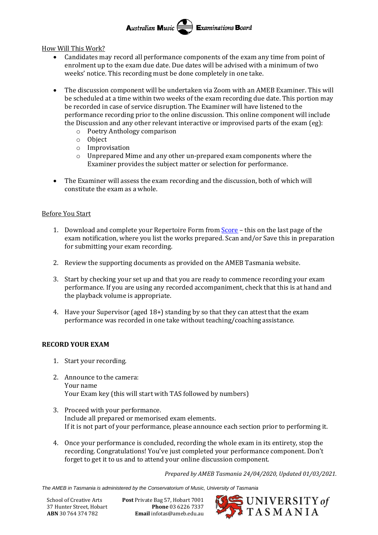Australian Music **Examinations Board** 

How Will This Work?

- Candidates may record all performance components of the exam any time from point of enrolment up to the exam due date. Due dates will be advised with a minimum of two weeks' notice. This recording must be done completely in one take.
- The discussion component will be undertaken via Zoom with an AMEB Examiner. This will be scheduled at a time within two weeks of the exam recording due date. This portion may be recorded in case of service disruption. The Examiner will have listened to the performance recording prior to the online discussion. This online component will include the Discussion and any other relevant interactive or improvised parts of the exam (eg):
	- o Poetry Anthology comparison
	- o Object
	- o Improvisation
	- o Unprepared Mime and any other un-prepared exam components where the Examiner provides the subject matter or selection for performance.
- The Examiner will assess the exam recording and the discussion, both of which will constitute the exam as a whole.

#### Before You Start

- 1. Download and complete your Repertoire Form from [Score](https://tas.ameb.edu.au/) this on the last page of the exam notification, where you list the works prepared. Scan and/or Save this in preparation for submitting your exam recording.
- 2. Review the supporting documents as provided on the AMEB Tasmania website.
- 3. Start by checking your set up and that you are ready to commence recording your exam performance. If you are using any recorded accompaniment, check that this is at hand and the playback volume is appropriate.
- 4. Have your Supervisor (aged 18+) standing by so that they can attest that the exam performance was recorded in one take without teaching/coaching assistance.

#### **RECORD YOUR EXAM**

- 1. Start your recording.
- 2. Announce to the camera: Your name Your Exam key (this will start with TAS followed by numbers)
- 3. Proceed with your performance. Include all prepared or memorised exam elements. If it is not part of your performance, please announce each section prior to performing it.
- 4. Once your performance is concluded, recording the whole exam in its entirety, stop the recording. Congratulations! You've just completed your performance component. Don't forget to get it to us and to attend your online discussion component.

*Prepared by AMEB Tasmania 24/04/2020, Updated 01/03/2021.*

*The AMEB in Tasmania is administered by the Conservatorium of Music, University of Tasmania*

School of Creative Arts **Post** Private Bag 57, Hobart 7001 37 Hunter Street, Hobart **Phone** 03 6226 7337 **ABN** 30 764 374 782 **Email** infotas@ameb.edu.au